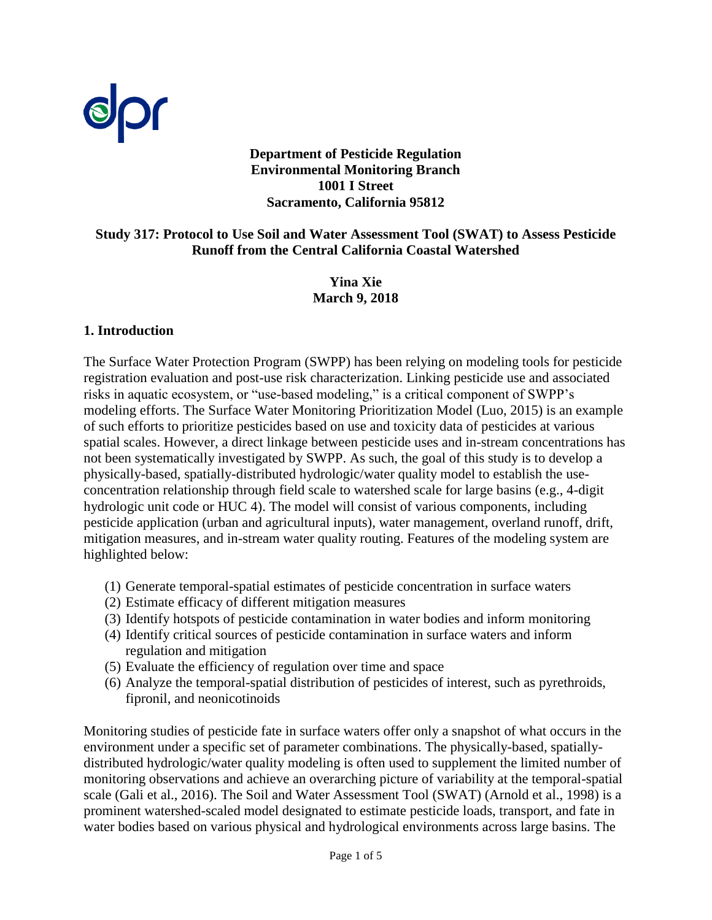

### **Department of Pesticide Regulation Environmental Monitoring Branch 1001 I Street Sacramento, California 95812**

#### **Runoff from the Central California Coastal Watershed Study 317: Protocol to Use Soil and Water Assessment Tool (SWAT) to Assess Pesticide**

**Yina Xie March 9, 2018** 

#### **1. Introduction**

The Surface Water Protection Program (SWPP) has been relying on modeling tools for pesticide registration evaluation and post-use risk characterization. Linking pesticide use and associated risks in aquatic ecosystem, or "use-based modeling," is a critical component of SWPP's modeling efforts. The Surface Water Monitoring Prioritization Model (Luo, 2015) is an example of such efforts to prioritize pesticides based on use and toxicity data of pesticides at various spatial scales. However, a direct linkage between pesticide uses and in-stream concentrations has not been systematically investigated by SWPP. As such, the goal of this study is to develop a physically-based, spatially-distributed hydrologic/water quality model to establish the useconcentration relationship through field scale to watershed scale for large basins (e.g., 4-digit hydrologic unit code or HUC 4). The model will consist of various components, including pesticide application (urban and agricultural inputs), water management, overland runoff, drift, mitigation measures, and in-stream water quality routing. Features of the modeling system are highlighted below:

- (1) Generate temporal-spatial estimates of pesticide concentration in surface waters
- (2) Estimate efficacy of different mitigation measures
- (3) Identify hotspots of pesticide contamination in water bodies and inform monitoring
- (4) Identify critical sources of pesticide contamination in surface waters and inform regulation and mitigation
- (5) Evaluate the efficiency of regulation over time and space
- (6) Analyze the temporal-spatial distribution of pesticides of interest, such as pyrethroids, fipronil, and neonicotinoids

 water bodies based on various physical and hydrological environments across large basins. The Monitoring studies of pesticide fate in surface waters offer only a snapshot of what occurs in the environment under a specific set of parameter combinations. The physically-based, spatiallydistributed hydrologic/water quality modeling is often used to supplement the limited number of monitoring observations and achieve an overarching picture of variability at the temporal-spatial scale (Gali et al., 2016). The Soil and Water Assessment Tool (SWAT) (Arnold et al., 1998) is a prominent watershed-scaled model designated to estimate pesticide loads, transport, and fate in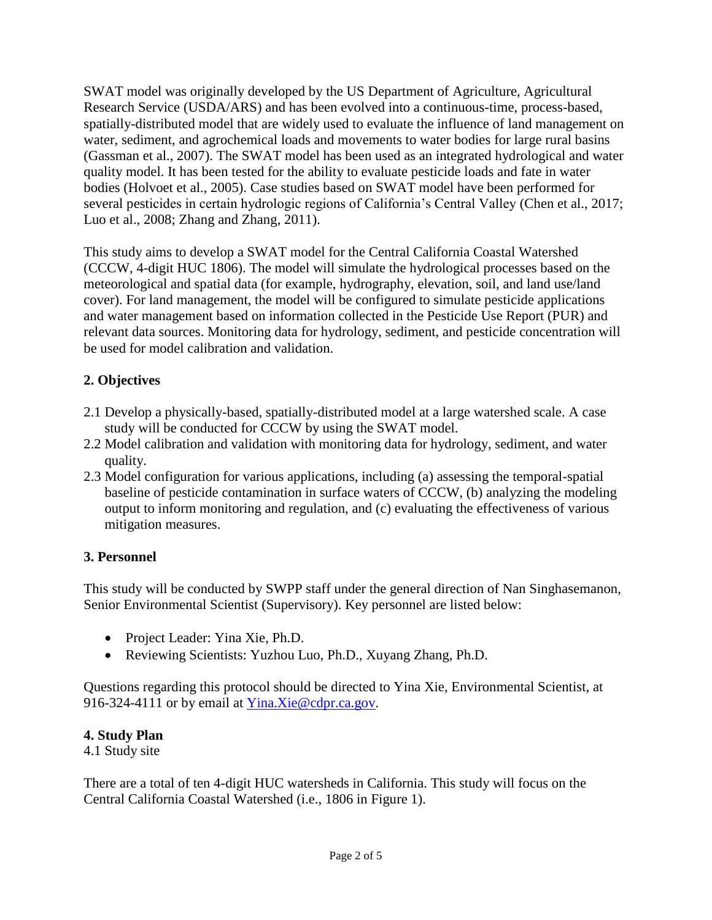SWAT model was originally developed by the US Department of Agriculture, Agricultural Research Service (USDA/ARS) and has been evolved into a continuous-time, process-based, spatially-distributed model that are widely used to evaluate the influence of land management on water, sediment, and agrochemical loads and movements to water bodies for large rural basins (Gassman et al., 2007). The SWAT model has been used as an integrated hydrological and water quality model. It has been tested for the ability to evaluate pesticide loads and fate in water bodies (Holvoet et al., 2005). Case studies based on SWAT model have been performed for several pesticides in certain hydrologic regions of California's Central Valley (Chen et al., 2017; Luo et al., 2008; Zhang and Zhang, 2011).

This study aims to develop a SWAT model for the Central California Coastal Watershed (CCCW, 4-digit HUC 1806). The model will simulate the hydrological processes based on the meteorological and spatial data (for example, hydrography, elevation, soil, and land use/land cover). For land management, the model will be configured to simulate pesticide applications and water management based on information collected in the Pesticide Use Report (PUR) and relevant data sources. Monitoring data for hydrology, sediment, and pesticide concentration will be used for model calibration and validation.

# **2. Objectives**

- 2.1 Develop a physically-based, spatially-distributed model at a large watershed scale. A case study will be conducted for CCCW by using the SWAT model.
- 2.2 Model calibration and validation with monitoring data for hydrology, sediment, and water quality.
- 2.3 Model configuration for various applications, including (a) assessing the temporal-spatial baseline of pesticide contamination in surface waters of CCCW, (b) analyzing the modeling output to inform monitoring and regulation, and (c) evaluating the effectiveness of various mitigation measures.

# **3. Personnel**

This study will be conducted by SWPP staff under the general direction of Nan Singhasemanon, Senior Environmental Scientist (Supervisory). Key personnel are listed below:

- Project Leader: Yina Xie, Ph.D.
- Reviewing Scientists: Yuzhou Luo, Ph.D., Xuyang Zhang, Ph.D.

Questions regarding this protocol should be directed to Yina Xie, Environmental Scientist, at 916-324-4111 or by email at [Yina.Xie@cdpr.ca.gov.](mailto:Yina.Xie@cdpr.ca.gov)

# **4. Study Plan**

4.1 Study site

 There are a total of ten 4-digit HUC watersheds in California. This study will focus on the Central California Coastal Watershed (i.e., 1806 in Figure 1).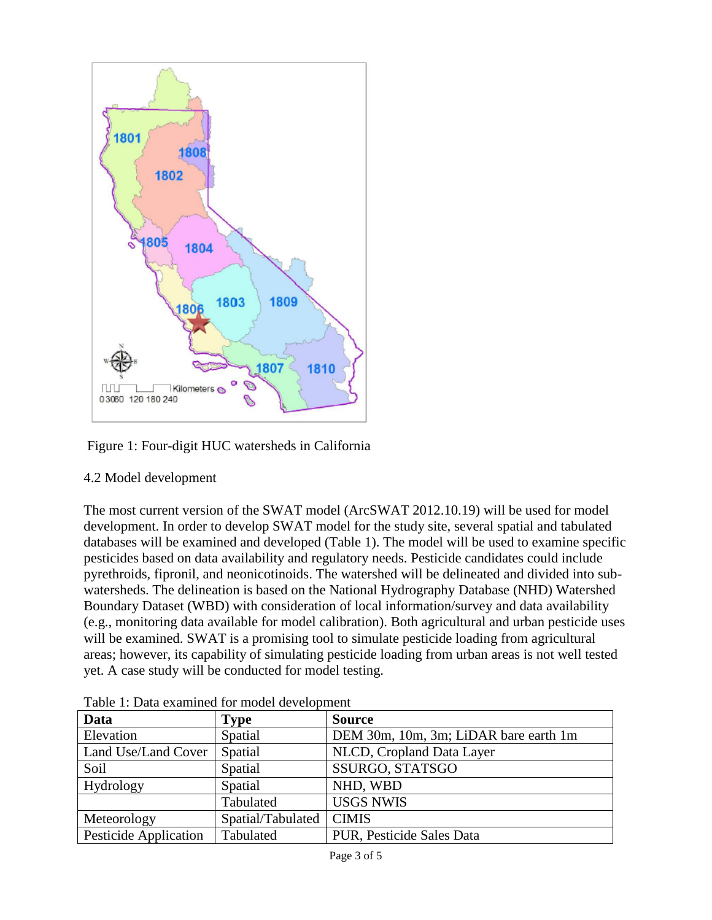

Figure 1: Four-digit HUC watersheds in California

### 4.2 Model development

The most current version of the SWAT model (ArcSWAT 2012.10.19) will be used for model development. In order to develop SWAT model for the study site, several spatial and tabulated databases will be examined and developed (Table 1). The model will be used to examine specific pesticides based on data availability and regulatory needs. Pesticide candidates could include pyrethroids, fipronil, and neonicotinoids. The watershed will be delineated and divided into subwatersheds. The delineation is based on the National Hydrography Database (NHD) Watershed Boundary Dataset (WBD) with consideration of local information/survey and data availability (e.g., monitoring data available for model calibration). Both agricultural and urban pesticide uses will be examined. SWAT is a promising tool to simulate pesticide loading from agricultural areas; however, its capability of simulating pesticide loading from urban areas is not well tested yet. A case study will be conducted for model testing.

| Data                               | <b>Type</b>       | <b>Source</b>                         |  |  |  |  |
|------------------------------------|-------------------|---------------------------------------|--|--|--|--|
| Elevation                          | Spatial           | DEM 30m, 10m, 3m; LiDAR bare earth 1m |  |  |  |  |
| Land Use/Land Cover                | Spatial           | NLCD, Cropland Data Layer             |  |  |  |  |
| Soil                               | Spatial           | SSURGO, STATSGO<br>NHD, WBD           |  |  |  |  |
| Hydrology                          | Spatial           |                                       |  |  |  |  |
|                                    | Tabulated         | <b>USGS NWIS</b>                      |  |  |  |  |
| Meteorology                        | Spatial/Tabulated | <b>CIMIS</b>                          |  |  |  |  |
| Pesticide Application<br>Tabulated |                   | PUR, Pesticide Sales Data             |  |  |  |  |

Table 1: Data examined for model development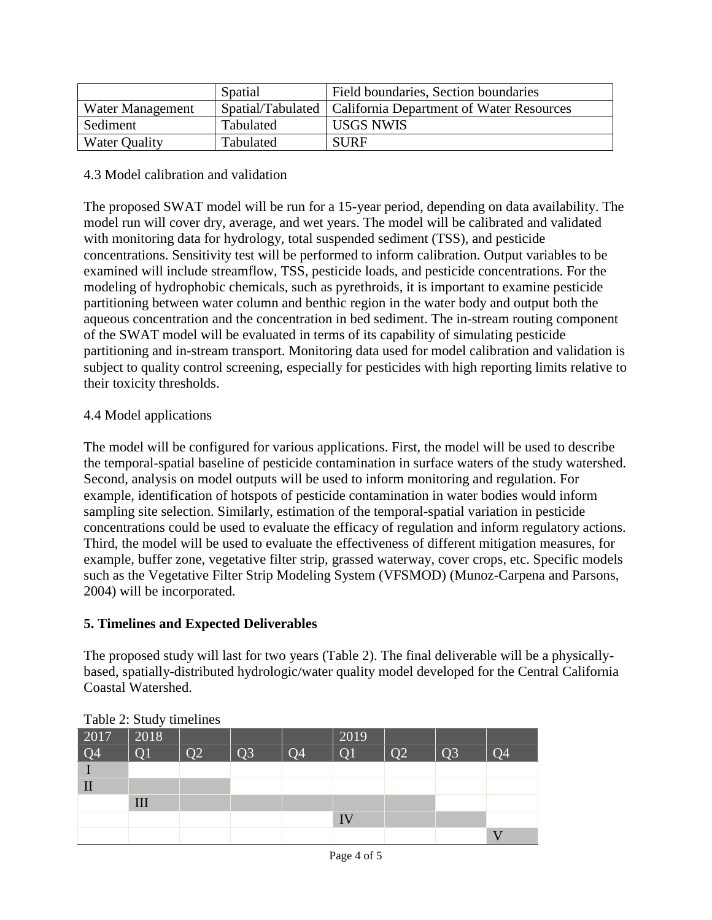|                      | Spatial   | Field boundaries, Section boundaries                         |  |  |  |
|----------------------|-----------|--------------------------------------------------------------|--|--|--|
| Water Management     |           | Spatial/Tabulated   California Department of Water Resources |  |  |  |
| Sediment             | Tabulated | <b>USGS NWIS</b>                                             |  |  |  |
| <b>Water Quality</b> | Tabulated | <b>SURF</b>                                                  |  |  |  |

### 4.3 Model calibration and validation

The proposed SWAT model will be run for a 15-year period, depending on data availability. The model run will cover dry, average, and wet years. The model will be calibrated and validated with monitoring data for hydrology, total suspended sediment (TSS), and pesticide concentrations. Sensitivity test will be performed to inform calibration. Output variables to be examined will include streamflow, TSS, pesticide loads, and pesticide concentrations. For the modeling of hydrophobic chemicals, such as pyrethroids, it is important to examine pesticide partitioning between water column and benthic region in the water body and output both the aqueous concentration and the concentration in bed sediment. The in-stream routing component of the SWAT model will be evaluated in terms of its capability of simulating pesticide partitioning and in-stream transport. Monitoring data used for model calibration and validation is subject to quality control screening, especially for pesticides with high reporting limits relative to their toxicity thresholds.

### 4.4 Model applications

The model will be configured for various applications. First, the model will be used to describe the temporal-spatial baseline of pesticide contamination in surface waters of the study watershed. Second, analysis on model outputs will be used to inform monitoring and regulation. For example, identification of hotspots of pesticide contamination in water bodies would inform sampling site selection. Similarly, estimation of the temporal-spatial variation in pesticide concentrations could be used to evaluate the efficacy of regulation and inform regulatory actions. Third, the model will be used to evaluate the effectiveness of different mitigation measures, for example, buffer zone, vegetative filter strip, grassed waterway, cover crops, etc. Specific models such as the Vegetative Filter Strip Modeling System (VFSMOD) (Munoz-Carpena and Parsons, [2004\)](#page-4-0) will be incorporated.

# **5. Timelines and Expected Deliverables**

The proposed study will last for two years (Table 2). The final deliverable will be a physicallybased, spatially-distributed hydrologic/water quality model developed for the Central California Coastal Watershed.

| $1.0012 - 1.0000$ |                 |                 |                |                |    |                |                |                 |                 |  |
|-------------------|-----------------|-----------------|----------------|----------------|----|----------------|----------------|-----------------|-----------------|--|
|                   | 2017            | 2018            |                |                |    | 2019           |                |                 |                 |  |
|                   | $\overline{Q4}$ | $\overline{O}1$ | Q <sub>2</sub> | Q <sub>3</sub> | Q4 | Q <sub>1</sub> | O <sub>2</sub> | $\overline{O3}$ | $\overline{O}4$ |  |
|                   |                 |                 |                |                |    |                |                |                 |                 |  |
|                   | $\mathbf{I}$    |                 |                |                |    |                |                |                 |                 |  |
|                   |                 | III             |                |                |    |                |                |                 |                 |  |
|                   |                 |                 |                |                |    | IV             |                |                 |                 |  |
|                   |                 |                 |                |                |    |                |                |                 |                 |  |

#### Table 2: Study timelines